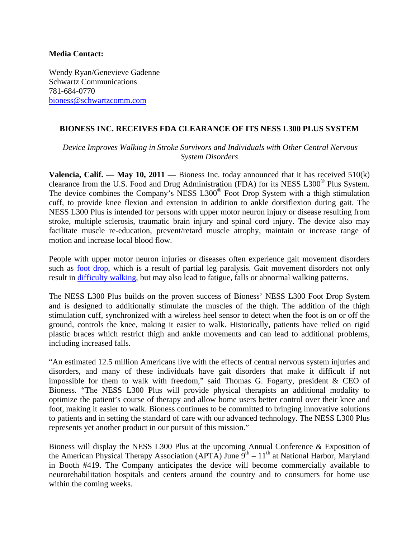## **Media Contact:**

Wendy Ryan/Genevieve Gadenne Schwartz Communications 781-684-0770 bioness@schwartzcomm.com

## **BIONESS INC. RECEIVES FDA CLEARANCE OF ITS NESS L300 PLUS SYSTEM**

*Device Improves Walking in Stroke Survivors and Individuals with Other Central Nervous System Disorders* 

**Valencia, Calif. — May 10, 2011 — Bioness Inc. today announced that it has received 510(k)** clearance from the U.S. Food and Drug Administration (FDA) for its NESS L300® Plus System. The device combines the Company's NESS L300® Foot Drop System with a thigh stimulation cuff, to provide knee flexion and extension in addition to ankle dorsiflexion during gait. The NESS L300 Plus is intended for persons with upper motor neuron injury or disease resulting from stroke, multiple sclerosis, traumatic brain injury and spinal cord injury. The device also may facilitate muscle re-education, prevent/retard muscle atrophy, maintain or increase range of motion and increase local blood flow.

People with upper motor neuron injuries or diseases often experience gait movement disorders such as [foot drop](http://www.bioness.com/Bioness_For_Foot_Drop.php), which is a result of partial leg paralysis. Gait movement disorders not only result in [difficulty walking](http://www.bioness.com), but may also lead to fatigue, falls or abnormal walking patterns.

The NESS L300 Plus builds on the proven success of Bioness' NESS L300 Foot Drop System and is designed to additionally stimulate the muscles of the thigh. The addition of the thigh stimulation cuff, synchronized with a wireless heel sensor to detect when the foot is on or off the ground, controls the knee, making it easier to walk. Historically, patients have relied on rigid plastic braces which restrict thigh and ankle movements and can lead to additional problems, including increased falls.

"An estimated 12.5 million Americans live with the effects of central nervous system injuries and disorders, and many of these individuals have gait disorders that make it difficult if not impossible for them to walk with freedom," said Thomas G. Fogarty, president & CEO of Bioness. "The NESS L300 Plus will provide physical therapists an additional modality to optimize the patient's course of therapy and allow home users better control over their knee and foot, making it easier to walk. Bioness continues to be committed to bringing innovative solutions to patients and in setting the standard of care with our advanced technology. The NESS L300 Plus represents yet another product in our pursuit of this mission."

Bioness will display the NESS L300 Plus at the upcoming Annual Conference & Exposition of the American Physical Therapy Association (APTA) June  $9^{th} - 11^{th}$  at National Harbor, Maryland in Booth #419. The Company anticipates the device will become commercially available to neurorehabilitation hospitals and centers around the country and to consumers for home use within the coming weeks.